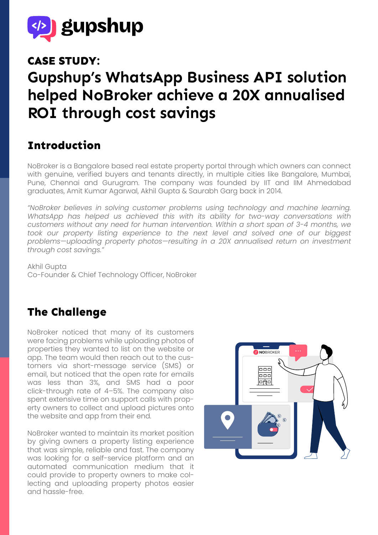

#### **CASE STUDY:**

# **Gupshup's WhatsApp Business API solution helped NoBroker achieve a 20X annualised ROI through cost savings**

#### **Introduction**

NoBroker is a Bangalore based real estate property portal through which owners can connect with genuine, verified buyers and tenants directly, in multiple cities like Bangalore, Mumbai, Pune, Chennai and Gurugram. The company was founded by IIT and IIM Ahmedabad graduates, Amit Kumar Agarwal, Akhil Gupta & Saurabh Garg back in 2014.

*"NoBroker believes in solving customer problems using technology and machine learning. WhatsApp has helped us achieved this with its ability for two-way conversations with customers without any need for human intervention. Within a short span of 3-4 months, we*  took our property listing experience to the next level and solved one of our biggest *problems—uploading property photos—resulting in a 20X annualised return on investment through cost savings."*

Akhil Gupta Co-Founder & Chief Technology Officer, NoBroker

## **The Challenge**

NoBroker noticed that many of its customers were facing problems while uploading photos of properties they wanted to list on the website or app. The team would then reach out to the customers via short-message service (SMS) or email, but noticed that the open rate for emails was less than 3%, and SMS had a poor click-through rate of 4–5%. The company also spent extensive time on support calls with property owners to collect and upload pictures onto the website and app from their end.

NoBroker wanted to maintain its market position by giving owners a property listing experience that was simple, reliable and fast. The company was looking for a self-service platform and an automated communication medium that it could provide to property owners to make collecting and uploading property photos easier and hassle-free.